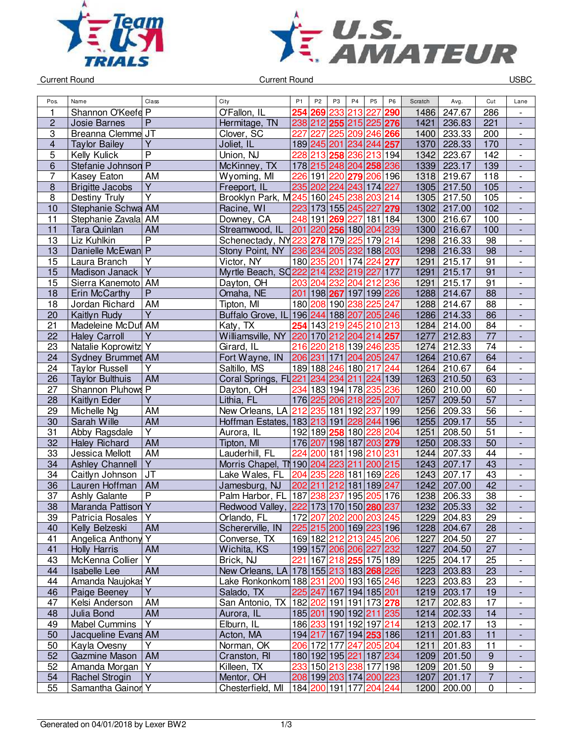



Current Round USBC

| Pos.                    | Name                   | Class                   | City                                                | P <sub>1</sub> | P <sub>2</sub> | P <sub>3</sub>                                        | P <sub>4</sub> | P <sub>5</sub>       | P <sub>6</sub> | Scratch | Avg.        | Cut              | Lane                         |
|-------------------------|------------------------|-------------------------|-----------------------------------------------------|----------------|----------------|-------------------------------------------------------|----------------|----------------------|----------------|---------|-------------|------------------|------------------------------|
| 1                       | Shannon O'Keefe P      |                         | O'Fallon, IL                                        | 254            | 269            | 233                                                   | 213            | 227                  | 290            | 1486    | 247.67      | 286              |                              |
| $\overline{c}$          | <b>Josie Barnes</b>    | $\overline{P}$          | Hermitage, TN                                       |                |                | 238 212 255 215 225 276                               |                |                      |                | 1421    | 236.83      | 221              | $\frac{1}{2}$                |
| 3                       | Breanna Clemme JT      |                         | Clover, SC                                          | 227            | 227            | 225                                                   | 209            | 246 266              |                | 1400    | 233.33      | 200              | $\overline{\phantom{0}}$     |
| $\overline{\mathbf{4}}$ | <b>Taylor Bailey</b>   | Y                       | Joliet, IL                                          |                |                | 189 245 201 234 244 257                               |                |                      |                | 1370    | 228.33      | 170              | $\overline{\phantom{a}}$     |
| 5                       | Kelly Kulick           | $\overline{\mathsf{P}}$ | Union, NJ                                           |                |                | 228 213 258 236                                       |                | $\overline{213}$ 194 |                | 1342    | 223.67      | 142              | $\blacksquare$               |
| 6                       | Stefanie Johnson P     |                         | McKinney, TX                                        |                |                | 178 215 248 204 258 236                               |                |                      |                | 1339    | 223.17      | 139              | ÷,                           |
| 7                       | Kasey Eaton            | AM                      | Wyoming, MI                                         | 226            |                | 191 220 <b>279</b> 206 196                            |                |                      |                | 1318    | 219.67      | 118              | $\overline{\phantom{a}}$     |
| $\bf 8$                 | <b>Brigitte Jacobs</b> | $\overline{Y}$          | Freeport, IL                                        |                |                | 235 202 224 243 174 227                               |                |                      |                | 1305    | 217.50      | 105              | $\blacksquare$               |
| 8                       | Destiny Truly          | $\overline{Y}$          | Brooklyn Park, M245 160 245 238                     |                |                |                                                       |                | 203 214              |                | 1305    | 217.50      | 105              | $\overline{\phantom{0}}$     |
| 10                      | Stephanie Schwa AM     |                         | Racine, WI                                          |                |                | 223 173 155 245 227 279                               |                |                      |                | 1302    | 217.00      | 102              | $\qquad \qquad \blacksquare$ |
| 11                      | Stephanie Zavala AM    |                         | Downey, CA                                          |                | 248 191        | 269                                                   | 227            | 181 184              |                | 1300    | 216.67      | 100              | $\overline{\phantom{0}}$     |
| 11                      | Tara Quinlan           | AM                      | Streamwood, IL                                      |                |                | 201 220 256 180 204 239                               |                |                      |                | 1300    | 216.67      | 100              | $\frac{1}{2}$                |
| 13                      | Liz Kuhlkin            | $\overline{\mathsf{P}}$ | Schenectady, NY223 278                              |                |                |                                                       | 179 225        | 179 214              |                | 1298    | 216.33      | 98               | $\overline{\phantom{0}}$     |
| 13                      | Danielle McEwan P      |                         | Stony Point, NY 236 234 205 232                     |                |                |                                                       |                | 188 203              |                | 1298    | 216.33      | 98               | $\overline{a}$               |
| $\overline{15}$         | Laura Branch           | $\overline{Y}$          | Victor, NY                                          |                |                | 180 235 201 174                                       |                | 224 277              |                | 1291    | 215.17      | 91               | $\blacksquare$               |
| 15                      | Madison Janack         | $\overline{Y}$          | Myrtle Beach, SC222 214 232 219 227 177             |                |                |                                                       |                |                      |                | 1291    | 215.17      | 91               | $\blacksquare$               |
| 15                      | Sierra Kanemoto AM     |                         | Dayton, OH                                          |                |                | 203 204 232 204                                       |                | 212                  | 236            | 1291    | 215.17      | 91               | $\overline{\phantom{a}}$     |
| 18                      | Erin McCarthy          | ${\sf P}$               | Omaha, NE                                           |                |                | 201 198 267 197 199 226                               |                |                      |                | 1288    | 214.67      | 88               | $\overline{\phantom{a}}$     |
| 18                      | Jordan Richard         | AM                      | Tipton, MI                                          |                |                | 180 208 190 238                                       |                | 225                  | 247            | 1288    | 214.67      | 88               | $\overline{\phantom{0}}$     |
| 20                      | Kaitlyn Rudy           | $\overline{Y}$          | Buffalo Grove, IL 196 244 188 207 205 246           |                |                |                                                       |                |                      |                | 1286    | 214.33      | 86               | $\qquad \qquad \blacksquare$ |
| 21                      | Madeleine McDuf AM     |                         | Katy, TX                                            |                |                | 254 143 219 245                                       |                | 210 213              |                | 1284    | 214.00      | 84               | $\overline{\phantom{a}}$     |
| 22                      | <b>Haley Carroll</b>   | $\overline{Y}$          | Williamsville, NY 220 170 212 204 214 257           |                |                |                                                       |                |                      |                | 1277    | 212.83      | 77               | $\overline{a}$               |
| 23                      | Natalie Koprowitz Y    |                         | Girard, IL                                          |                |                | 216 220 218 139 246 235                               |                |                      |                | 1274    | 212.33      | 74               | $\overline{\phantom{0}}$     |
| 24                      | Sydney Brummet AM      |                         | Fort Wayne, IN                                      |                |                | 206 231 171 204 205 247                               |                |                      |                | 1264    | 210.67      | 64               |                              |
| 24                      | <b>Taylor Russell</b>  | $\overline{Y}$          | Saltillo, MS                                        |                |                | 189 188 246 180                                       |                | 217 244              |                | 1264    | 210.67      | 64               | $\blacksquare$               |
| 26                      | <b>Taylor Bulthuis</b> | AM                      | Coral Springs, FL221 234 234 211                    |                |                |                                                       |                | 224 139              |                | 1263    | 210.50      | 63               | $\blacksquare$               |
| 27                      | Shannon Pluhows P      |                         | Dayton, OH                                          |                |                | 234 183 194 178                                       |                | 235 236              |                | 1260    | 210.00      | 60               | $\overline{\phantom{a}}$     |
| 28                      | Kaitlyn Eder           | $\overline{Y}$          | Lithia, FL                                          |                |                | 176 225 206 218 225 207                               |                |                      |                | 1257    | 209.50      | 57               | $\overline{\phantom{a}}$     |
| 29                      | Michelle Ng            | AM                      | New Orleans, LA 212 235 181 192                     |                |                |                                                       |                | 237                  | 199            | 1256    | 209.33      | 56               | $\overline{\phantom{0}}$     |
| 30                      | Sarah Wille            | <b>AM</b>               | Hoffman Estates, 183 213 191 228                    |                |                |                                                       |                | 244 196              |                | 1255    | 209.17      | $\overline{55}$  | $\qquad \qquad \blacksquare$ |
| 31                      | Abby Ragsdale          | $\overline{Y}$          | Aurora, IL                                          |                |                | 192 189 258                                           | 180            | 228                  | 204            | 1251    | 208.50      | $\overline{51}$  | $\overline{\phantom{0}}$     |
| 32                      | <b>Haley Richard</b>   | <b>AM</b>               | Tipton, MI                                          |                |                | 176 207 198 187                                       |                | 203 279              |                | 1250    | 208.33      | 50               | $\frac{1}{2}$                |
| 33                      | Jessica Mellott        | <b>AM</b>               | Lauderhill, FL                                      |                | 224 200        |                                                       | 181 198        | 210 231              |                | 1244    | 207.33      | 44               | $\overline{\phantom{0}}$     |
| 34                      | <b>Ashley Channell</b> | $\overline{Y}$          | Morris Chapel, TN 190 204 223 211                   |                |                |                                                       |                | 200 215              |                | 1243    | 207.17      | $\overline{43}$  | $\frac{1}{2}$                |
| 34                      | Caitlyn Johnson        | J <sub>T</sub>          | Lake Wales, FL                                      |                |                | 204 235 228 181 169 226                               |                |                      |                | 1243    | 207.17      | 43               | $\overline{\phantom{0}}$     |
| 36                      | Lauren Hoffman         | AM                      | Jamesburg, NJ                                       |                |                | 202 211 212 181                                       |                | 189 247              |                | 1242    | 207.00      | 42               | $\overline{a}$               |
| 37                      | Ashly Galante          | $\overline{P}$          | Palm Harbor, FL 187 238 237                         |                |                |                                                       | 195            | 205 176              |                | 1238    | 206.33      | 38               | $\overline{\phantom{0}}$     |
| 38                      | Maranda Pattison Y     |                         | Redwood Valley, 222 173 170 150 280 237             |                |                |                                                       |                |                      |                | 1232    | 205.33      | 32               | L,                           |
| 39                      | Patricia Rosales       | l Y                     | Orlando, FL                                         |                |                | 172 207 202 200 203 245                               |                |                      |                |         | 1229 204.83 | 29               | -                            |
| 40                      | Kelly Belzeski         | <b>AM</b>               | Schererville, IN                                    |                |                | 225 215 200 169 223 196                               |                |                      |                |         | 1228 204.67 | 28               | -                            |
| 41                      | Angelica Anthony Y     |                         | Converse, TX                                        |                |                | 169 182 212 213 245 206                               |                |                      |                | 1227    | 204.50      | 27               | $\qquad \qquad -$            |
| 41                      | <b>Holly Harris</b>    | AM                      | Wichita, KS                                         |                |                | 199 157 206 206 227 232                               |                |                      |                |         | 1227 204.50 | 27               | ٠                            |
| 43                      | McKenna Collier        | Y                       | Brick, NJ                                           |                |                | 221 167 218 255 175 189                               |                |                      |                | 1225    | 204.17      | 25               | $\overline{\phantom{a}}$     |
| 44                      | <b>Isabelle Lee</b>    | AM                      | New Orleans, LA   178   155   213   183   268   226 |                |                |                                                       |                |                      |                |         | 1223 203.83 | 23               |                              |
| 44                      | Amanda Naujokas Y      |                         | Lake Ronkonkom 188 231 200 193 165 246              |                |                |                                                       |                |                      |                | 1223    | 203.83      | 23               |                              |
| 46                      | Paige Beeney           | $\overline{Y}$          | Salado, TX                                          |                |                | 225 247 167 194 185 201                               |                |                      |                |         | 1219 203.17 | 19               | $\overline{\phantom{a}}$     |
| 47                      | Kelsi Anderson         | AM                      | San Antonio, TX   182   202   191   191   173   278 |                |                |                                                       |                |                      |                | 1217    | 202.83      | 17               | $\overline{\phantom{a}}$     |
| 48                      | Julia Bond             | AM                      | Aurora, IL                                          |                |                | 185 201 190 192 211 235                               |                |                      |                |         | 1214 202.33 | 14               | $\blacksquare$               |
| 49                      | <b>Mabel Cummins</b>   | Y                       | Elburn, IL                                          |                |                | 186 233 191 192 197 214                               |                |                      |                | 1213    | 202.17      | 13               | $\overline{\phantom{0}}$     |
| 50                      | Jacqueline Evans AM    |                         | Acton, MA                                           |                |                | 194 217 167 194 253 186                               |                |                      |                | 1211    | 201.83      | 11               | ٠                            |
| 50                      | Kayla Ovesny           | Y                       | Norman, OK                                          |                |                | 206 172 177 247 205 204                               |                |                      |                | 1211    | 201.83      | 11               | $\overline{\phantom{0}}$     |
| 52                      | Gazmine Mason          | AM                      | Cranston, RI                                        |                |                | 180 192 195 221 187 234                               |                |                      |                |         | 1209 201.50 | $\boldsymbol{9}$ | ٠                            |
| 52                      | Amanda Morgan          | l Y                     | Killeen, TX                                         |                |                | 233 150 213 238 177 198                               |                |                      |                |         | 1209 201.50 | $\boldsymbol{9}$ | $\overline{\phantom{a}}$     |
| 54                      | Rachel Strogin         | $\overline{Y}$          | Mentor, OH                                          |                |                | 208 199 203 174 200 223                               |                |                      |                | 1207    | 201.17      | $\overline{7}$   |                              |
| 55                      | Samantha Gainor Y      |                         | Chesterfield, MI                                    |                |                | 184  <mark>200</mark>  191 177  <mark>204</mark>  244 |                |                      |                |         | 1200 200.00 | $\mathbf 0$      | $\blacksquare$               |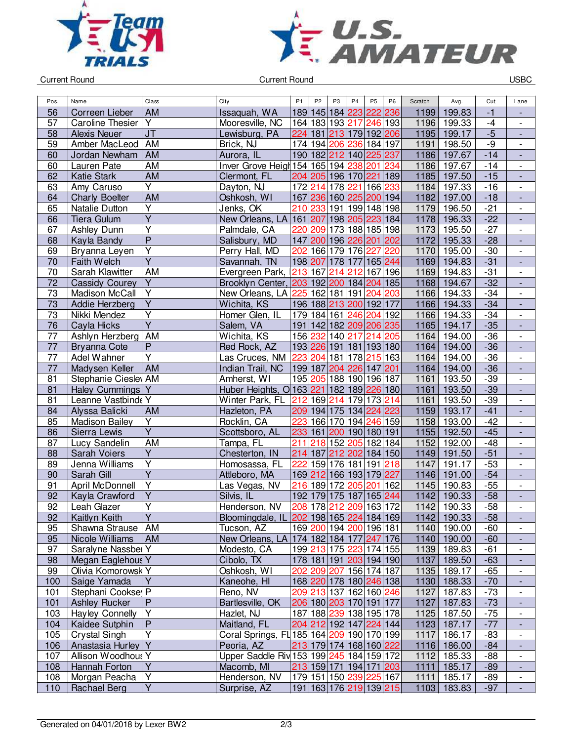



Current Round USBC

| Pos.            | Name                    | Class                             | City                                                | P <sub>1</sub> | P <sub>2</sub> | P <sub>3</sub>          | P <sub>4</sub> | P <sub>5</sub>   | P <sub>6</sub> | Scratch | Avg.        | Cut   | Lane                                       |
|-----------------|-------------------------|-----------------------------------|-----------------------------------------------------|----------------|----------------|-------------------------|----------------|------------------|----------------|---------|-------------|-------|--------------------------------------------|
| 56              | Correen Lieber          | <b>AM</b>                         | Issaquah, WA                                        |                |                | 189 145 184 223         |                | 222              | 236            | 1199    | 199.83      | $-1$  |                                            |
| 57              | <b>Caroline Thesier</b> | Y                                 | Mooresville, NC                                     |                |                | 164 183 193 217         |                | 246 193          |                | 1196    | 199.33      | $-4$  | $\overline{\phantom{0}}$                   |
| 58              | <b>Alexis Neuer</b>     | $\overline{\mathsf{J}\mathsf{T}}$ | Lewisburg, PA                                       |                |                | 224 181 213 179 192 206 |                |                  |                | 1195    | 199.17      | $-5$  | $\frac{1}{2}$                              |
| 59              | Amber MacLeod           | AM                                | Brick, NJ                                           |                |                | 174 194 206 236 184 197 |                |                  |                | 1191    | 198.50      | $-9$  | $\overline{\phantom{0}}$                   |
| 60              | Jordan Newham           | <b>AM</b>                         | Aurora, IL                                          |                |                | 190 182 212 140 225 237 |                |                  |                | 1186    | 197.67      | $-14$ | $\blacksquare$                             |
| 60              | Lauren Pate             | AM                                | Inver Grove Heigh 154 165 194 238                   |                |                |                         |                | 201              | 234            | 1186    | 197.67      | $-14$ |                                            |
| 62              | <b>Katie Stark</b>      | <b>AM</b>                         | Clermont, FL                                        |                |                | 204 205 196 170 221 189 |                |                  |                | 1185    | 197.50      | $-15$ | $\frac{1}{2}$                              |
| 63              | Amy Caruso              | Ÿ                                 | Dayton, NJ                                          |                | 172 214        |                         | 178 221        | 166 233          |                | 1184    | 197.33      | $-16$ | $\blacksquare$                             |
| 64              | <b>Charly Boelter</b>   | <b>AM</b>                         | Oshkosh, WI                                         |                |                | 167 236 160 225         |                | 200 194          |                | 1182    | 197.00      | $-18$ | $\overline{\phantom{a}}$                   |
| 65              | Natalie Dutton          | Υ                                 | Jenks, OK                                           | 210            | 233            |                         |                | 191 199 148 198  |                | 1179    | 196.50      | $-21$ | $\overline{\phantom{0}}$                   |
| 66              | <b>Tiera Gulum</b>      | $\overline{\mathsf{Y}}$           | New Orleans, LA                                     |                |                | 161 207 198 205 223 184 |                |                  |                | 1178    | 196.33      | $-22$ | $\overline{\phantom{a}}$                   |
| 67              | Ashley Dunn             | $\overline{Y}$                    | Palmdale, CA                                        | 220            | 209            |                         |                | 173 188 185 198  |                | 1173    | 195.50      | $-27$ | $\overline{\phantom{0}}$                   |
| 68              | Kayla Bandy             | $\overline{\mathsf{P}}$           | Salisbury, MD                                       |                |                | 147 200 196 226 201 202 |                |                  |                | 1172    | 195.33      | $-28$ | $\blacksquare$                             |
| 69              | Bryanna Leyen           | $\overline{\mathsf{Y}}$           | Perry Hall, MD                                      | 202            |                | 166 179 176             |                | 227              | 220            | 1170    | 195.00      | $-30$ | $\overline{\phantom{0}}$                   |
| 70              | Faith Welch             | $\overline{\mathsf{Y}}$           | Savannah, TN                                        |                | 198 207        | 178 177                 |                | 165 244          |                | 1169    | 194.83      | $-31$ | $\blacksquare$                             |
| 70              | Sarah Klawitter         | AM                                | Evergreen Park,                                     | 213 167        |                | 214 212                 |                | $\sqrt{167}$ 196 |                | 1169    | 194.83      | $-31$ | $\frac{1}{2}$                              |
| 72              | <b>Cassidy Courey</b>   | Y                                 | Brooklyn Center, 203 192 200 184 204 185            |                |                |                         |                |                  |                | 1168    | 194.67      | $-32$ | $\overline{a}$                             |
| $\overline{73}$ | Madison McCall          | $\overline{Y}$                    | New Orleans, LA 225                                 |                |                | 162 181 191             |                | 204 203          |                | 1166    | 194.33      | $-34$ | $\overline{\phantom{a}}$                   |
| 73              | Addie Herzberg          | $\overline{Y}$                    | Wichita, KS                                         |                |                | 196 188 213 200 192 177 |                |                  |                | 1166    | 194.33      | $-34$ | $\overline{\phantom{a}}$                   |
| 73              | Nikki Mendez            | Υ                                 | Homer Glen, IL                                      |                |                | 179 184 161 246         |                | 204 192          |                | 1166    | 194.33      | $-34$ | $\overline{\phantom{0}}$                   |
| 76              | Cayla Hicks             | $\overline{\mathsf{Y}}$           | Salem, VA                                           |                |                | 191 142 182 209 206 235 |                |                  |                | 1165    | 194.17      | $-35$ | $\overline{\phantom{a}}$                   |
| 77              | Ashlyn Herzberg         | AM                                | Wichita, KS                                         |                | 156 232        | 140 217                 |                | 214              | 205            | 1164    | 194.00      | $-36$ | $\overline{\phantom{0}}$                   |
| 77              | <b>Bryanna Cote</b>     | P                                 | Red Rock, AZ                                        |                |                | 193 226 191 181 193 180 |                |                  |                | 1164    | 194.00      | $-36$ | $\blacksquare$                             |
| 77              | Adel Wahner             | $\overline{\mathsf{Y}}$           | Las Cruces, NM 223 204                              |                |                | 181   178               |                | 215 163          |                | 1164    | 194.00      | $-36$ | $\overline{\phantom{a}}$                   |
| 77              | Madysen Keller          | <b>AM</b>                         | Indian Trail, NC                                    |                |                | 199 187 204 226         |                | 147 201          |                | 1164    | 194.00      | $-36$ | $\blacksquare$                             |
| 81              | Stephanie Ciesley AM    |                                   | Amherst, WI                                         |                |                | 195 205 188 190 196 187 |                |                  |                | 1161    | 193.50      | $-39$ | $\overline{\phantom{a}}$                   |
| 81              | Haley Cummings Y        |                                   | Huber Heights, O 163 221 182 189 226 180            |                |                |                         |                |                  |                | 1161    | 193.50      | $-39$ | $\overline{a}$                             |
| 81              | Leanne Vastbinde Y      |                                   | Winter Park, FL                                     |                |                | 212 169 214 179         |                | 173 214          |                | 1161    | 193.50      | $-39$ | $\overline{\phantom{0}}$                   |
| 84              | Alyssa Balicki          | <b>AM</b>                         | Hazleton, PA                                        |                |                | 209 194 175 134         |                | 224 223          |                | 1159    | 193.17      | $-41$ | $\overline{\phantom{a}}$                   |
| 85              | <b>Madison Bailey</b>   | Υ                                 | Rocklin, CA                                         | 223            |                | 166 170 194             |                | 246 159          |                | 1158    | 193.00      | $-42$ | $\overline{\phantom{a}}$                   |
| 86              | Sierra Lewis            | $\overline{Y}$                    | Scottsboro, AL                                      |                |                | 233 161 200 190 180 191 |                |                  |                | 1155    | 192.50      | $-45$ | $\overline{\phantom{a}}$                   |
| 87              | Lucy Sandelin           | <b>AM</b>                         | Tampa, FL                                           | 211            | 218            | 152                     | 205            | 182 184          |                | 1152    | 192.00      | $-48$ | $\overline{\phantom{0}}$                   |
| 88              | Sarah Voiers            | Υ                                 | Chesterton, IN                                      |                |                | 214 187 212             | 202            | 184 150          |                | 1149    | 191.50      | $-51$ | $\frac{1}{2}$                              |
| 89              | Jenna Williams          | Ÿ                                 |                                                     | 222            | 159            | 176 181                 |                | 191              | 218            | 1147    | 191.17      | $-53$ | $\overline{\phantom{a}}$                   |
|                 | Sarah Gill              | $\overline{\mathsf{Y}}$           | Homosassa, FL<br>Attleboro, MA                      |                |                | 169 212 166 193         |                | 179 227          |                | 1146    | 191.00      | $-54$ |                                            |
| 90              | <b>April McDonnell</b>  | $\overline{\mathsf{Y}}$           |                                                     |                |                | 216 189 172             | 205            |                  |                | 1145    |             |       | $\blacksquare$<br>$\overline{\phantom{a}}$ |
| 91              |                         | $\overline{\mathsf{Y}}$           | Las Vegas, NV                                       |                |                | 192 179 175 187         |                | 201              | 162            | 1142    | 190.83      | $-55$ |                                            |
| 92              | Kayla Crawford          | $\overline{Y}$                    | Silvis, IL                                          |                |                | 208 178 212 209 163 172 |                | 165 244          |                |         | 190.33      | $-58$ | $\overline{a}$                             |
| 92              | Leah Glazer             |                                   | Henderson, NV                                       |                |                |                         |                |                  |                | 1142    | 190.33      | $-58$ | $\overline{a}$                             |
| 92              | Kaitlyn Keith           | Y                                 | Bloomingdale, IL 202 198 165 224 184 169            |                |                |                         |                |                  |                |         | 1142 190.33 | $-58$ | ٠                                          |
| 95              | Shawna Strause          | <b>AM</b>                         | Tucson, AZ                                          |                |                | 169 200 194 200 196 181 |                |                  |                |         | 1140 190.00 | $-60$ | $\qquad \qquad -$                          |
| 95              | Nicole Williams         | AM                                | New Orleans, LA   174   182   184   177   247   176 |                |                |                         |                |                  |                |         | 1140 190.00 | $-60$ | $\overline{\phantom{m}}$                   |
| 97              | Saralyne Nassbel Y      |                                   | Modesto, CA                                         |                |                | 199 213 175 223 174 155 |                |                  |                |         | 1139 189.83 | $-61$ | $\overline{a}$                             |
| 98              | Megan Eaglehous Y       |                                   | Cibolo, TX                                          |                |                | 178 181 191 203 194 190 |                |                  |                | 1137    | 189.50      | $-63$ | $\overline{a}$                             |
| 99              | Olivia Komorowsk Y      |                                   | Oshkosh, WI                                         |                |                | 202 209 207 156 174 187 |                |                  |                | 1135    | 189.17      | $-65$ | $\overline{\phantom{a}}$                   |
| 100             | Saige Yamada            | Y                                 | Kaneohe, HI                                         |                |                | 168 220 178 180 246 138 |                |                  |                | 1130    | 188.33      | $-70$ |                                            |
| 101             | Stephani Cookse P       |                                   | Reno, NV                                            |                |                | 209 213 137 162 160 246 |                |                  |                | 1127    | 187.83      | $-73$ | $\frac{1}{2}$                              |
| 101             | <b>Ashley Rucker</b>    | $\mathsf{P}$                      | Bartlesville, OK                                    |                |                | 206 180 203 170 191 177 |                |                  |                | 1127    | 187.83      | $-73$ | $\overline{\phantom{a}}$                   |
| 103             | <b>Hayley Connelly</b>  | $\overline{Y}$                    | Hazlet, NJ                                          |                |                | 187 188 239 138 195 178 |                |                  |                | 1125    | 187.50      | $-75$ | $\overline{\phantom{0}}$                   |
| 104             | Kaidee Sutphin          | $\overline{P}$                    | Maitland, FL                                        |                |                | 204 212 192 147 224 144 |                |                  |                | 1123    | 187.17      | $-77$ | $\overline{\phantom{a}}$                   |
| 105             | Crystal Singh           | Y                                 | Coral Springs, FL 185 164 209 190 170 199           |                |                |                         |                |                  |                | 1117    | 186.17      | -83   | $\overline{\phantom{0}}$                   |
| 106             | Anastasia Hurley Y      |                                   | Peoria, AZ                                          |                |                | 213 179 174 168 160 222 |                |                  |                |         | 1116 186.00 | $-84$ | $\overline{\phantom{0}}$                   |
| 107             | Allison Woodhous Y      |                                   | Upper Saddle Riv 153 199 245 184 159 172            |                |                |                         |                |                  |                | 1112    | 185.33      | $-88$ | $\overline{\phantom{a}}$                   |
| 108             | Hannah Forton           | $\overline{Y}$                    | Macomb, MI                                          |                |                | 213 159 171 194 171 203 |                |                  |                | 1111    | 185.17      | $-89$ | ٠                                          |
| 108             | Morgan Peacha           | $\overline{Y}$                    | Henderson, NV                                       |                |                | 179 151 150 239 225 167 |                |                  |                | 1111    | 185.17      | -89   | $\overline{\phantom{a}}$                   |
| 110             | Rachael Berg            | $\overline{Y}$                    | Surprise, AZ                                        |                |                | 191 163 176 219 139 215 |                |                  |                |         | 1103 183.83 | $-97$ |                                            |